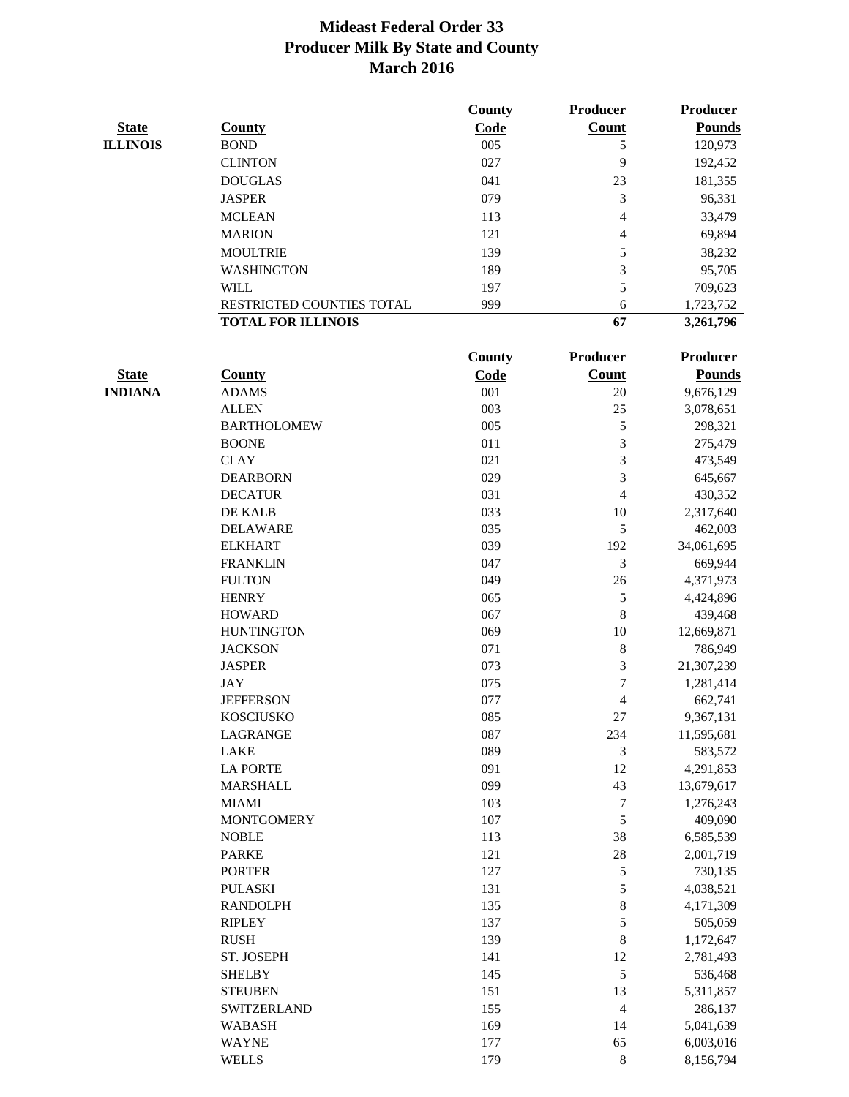|                 |                           | County | Producer         | <b>Producer</b> |
|-----------------|---------------------------|--------|------------------|-----------------|
| <b>State</b>    | <b>County</b>             | Code   | <b>Count</b>     | <b>Pounds</b>   |
| <b>ILLINOIS</b> | <b>BOND</b>               | 005    | 5                | 120,973         |
|                 | <b>CLINTON</b>            | 027    | 9                | 192,452         |
|                 | <b>DOUGLAS</b>            | 041    | 23               | 181,355         |
|                 | <b>JASPER</b>             | 079    | 3                | 96,331          |
|                 | <b>MCLEAN</b>             | 113    | 4                | 33,479          |
|                 | <b>MARION</b>             | 121    | 4                | 69,894          |
|                 | <b>MOULTRIE</b>           | 139    | 5                | 38,232          |
|                 | <b>WASHINGTON</b>         | 189    | 3                | 95,705          |
|                 | <b>WILL</b>               | 197    | 5                | 709,623         |
|                 | RESTRICTED COUNTIES TOTAL | 999    | 6                | 1,723,752       |
|                 | <b>TOTAL FOR ILLINOIS</b> |        | 67               | 3,261,796       |
|                 |                           | County | Producer         | <b>Producer</b> |
| <b>State</b>    | <b>County</b>             | Code   | <b>Count</b>     | <b>Pounds</b>   |
| <b>INDIANA</b>  | <b>ADAMS</b>              | 001    | 20               | 9,676,129       |
|                 | <b>ALLEN</b>              | 003    | 25               | 3,078,651       |
|                 | <b>BARTHOLOMEW</b>        | 005    | $\mathfrak s$    | 298,321         |
|                 | <b>BOONE</b>              | 011    | $\mathfrak{Z}$   | 275,479         |
|                 | <b>CLAY</b>               | 021    | $\mathfrak{Z}$   | 473,549         |
|                 | <b>DEARBORN</b>           | 029    | $\mathfrak{Z}$   | 645,667         |
|                 | <b>DECATUR</b>            | 031    | $\overline{4}$   | 430,352         |
|                 | DE KALB                   | 033    | 10               | 2,317,640       |
|                 | <b>DELAWARE</b>           | 035    | 5                | 462,003         |
|                 | <b>ELKHART</b>            | 039    | 192              | 34,061,695      |
|                 | <b>FRANKLIN</b>           | 047    | $\mathfrak{Z}$   | 669,944         |
|                 | <b>FULTON</b>             | 049    | $26\,$           | 4,371,973       |
|                 | <b>HENRY</b>              | 065    | 5                | 4,424,896       |
|                 | <b>HOWARD</b>             | 067    | $\,$ 8 $\,$      | 439,468         |
|                 | <b>HUNTINGTON</b>         | 069    | 10               | 12,669,871      |
|                 | <b>JACKSON</b>            | 071    | $\,8\,$          | 786,949         |
|                 | <b>JASPER</b>             | 073    | $\mathfrak{Z}$   | 21,307,239      |
|                 | JAY                       | 075    | $\boldsymbol{7}$ | 1,281,414       |
|                 | <b>JEFFERSON</b>          | 077    | 4                | 662,741         |
|                 | <b>KOSCIUSKO</b>          | 085    | 27               | 9,367,131       |
|                 | LAGRANGE                  | 087    | 234              | 11,595,681      |
|                 | LAKE                      | 089    | 3                | 583,572         |
|                 | <b>LA PORTE</b>           | 091    | $12\,$           | 4,291,853       |
|                 | <b>MARSHALL</b>           | 099    | 43               | 13,679,617      |
|                 | <b>MIAMI</b>              | 103    | $\boldsymbol{7}$ | 1,276,243       |
|                 | <b>MONTGOMERY</b>         | 107    | $\sqrt{5}$       | 409,090         |
|                 | <b>NOBLE</b>              | 113    | 38               | 6,585,539       |
|                 | <b>PARKE</b>              | 121    | $28\,$           | 2,001,719       |
|                 | <b>PORTER</b>             | 127    | $\mathfrak s$    | 730,135         |
|                 | <b>PULASKI</b>            | 131    | $\mathfrak s$    | 4,038,521       |
|                 | <b>RANDOLPH</b>           | 135    | $\,$ 8 $\,$      | 4,171,309       |
|                 | <b>RIPLEY</b>             | 137    | $\mathfrak s$    | 505,059         |
|                 | <b>RUSH</b>               | 139    | $\,8\,$          | 1,172,647       |
|                 | ST. JOSEPH                | 141    | 12               | 2,781,493       |
|                 | <b>SHELBY</b>             | 145    | 5                | 536,468         |
|                 | <b>STEUBEN</b>            | 151    | 13               | 5,311,857       |
|                 | SWITZERLAND               | 155    | $\overline{4}$   | 286,137         |
|                 | <b>WABASH</b>             | 169    | 14               | 5,041,639       |
|                 | <b>WAYNE</b>              | 177    | 65               | 6,003,016       |
|                 | <b>WELLS</b>              | 179    | $\bf 8$          | 8,156,794       |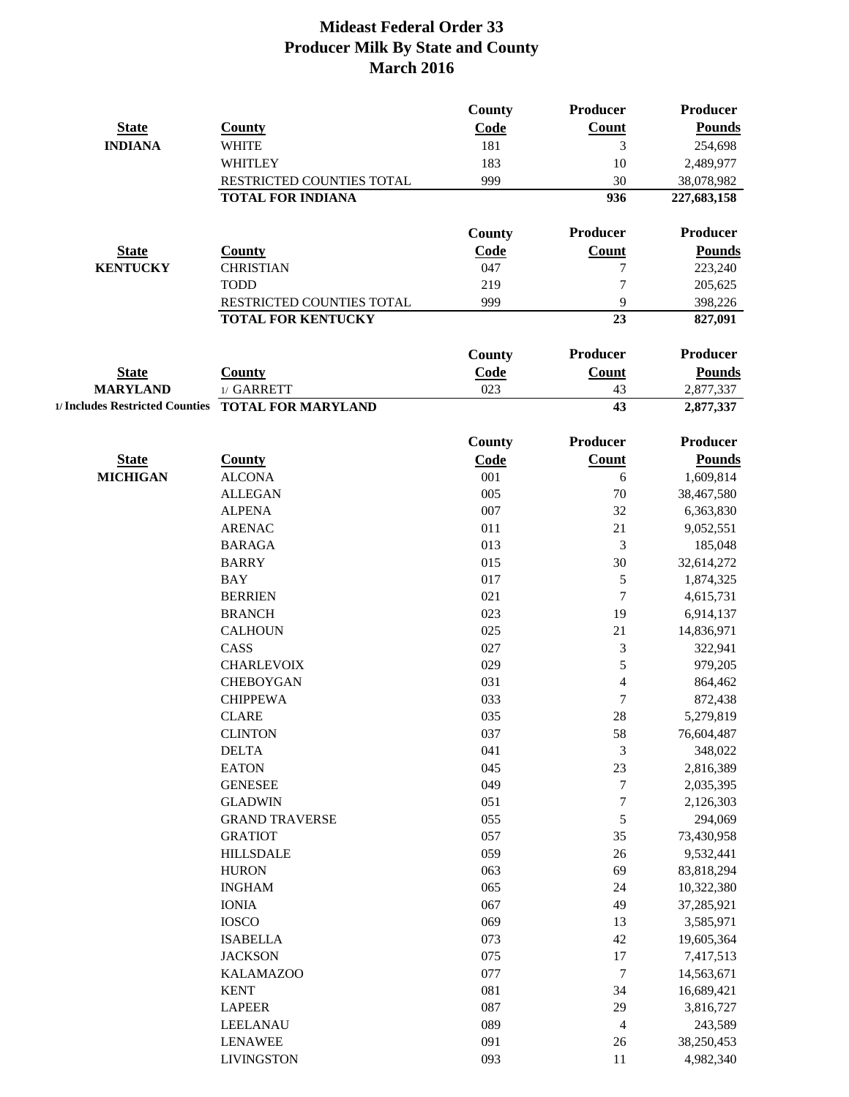| <b>State</b>    | County                           | <b>County</b><br>Code | Producer<br>Count        | <b>Producer</b><br><b>Pounds</b> |
|-----------------|----------------------------------|-----------------------|--------------------------|----------------------------------|
| <b>INDIANA</b>  | <b>WHITE</b>                     | 181                   | 3                        | 254,698                          |
|                 | <b>WHITLEY</b>                   | 183                   | 10                       | 2,489,977                        |
|                 | <b>RESTRICTED COUNTIES TOTAL</b> | 999                   | 30                       | 38,078,982                       |
|                 | <b>TOTAL FOR INDIANA</b>         |                       | 936                      | 227,683,158                      |
|                 |                                  | <b>County</b>         | <b>Producer</b>          | <b>Producer</b>                  |
| <b>State</b>    | County                           | Code                  | <b>Count</b>             | <b>Pounds</b>                    |
| <b>KENTUCKY</b> | <b>CHRISTIAN</b>                 | 047                   | 7                        | 223,240                          |
|                 | <b>TODD</b>                      | 219                   | 7                        | 205,625                          |
|                 | <b>RESTRICTED COUNTIES TOTAL</b> | 999                   | 9                        | 398,226                          |
|                 | <b>TOTAL FOR KENTUCKY</b>        |                       | 23                       | 827,091                          |
| <b>State</b>    | Countv                           | <b>County</b><br>Code | <b>Producer</b><br>Count | <b>Producer</b><br><b>Pounds</b> |

| otate<br>____   | ∕ountv                                             | ⊖oue | ∠оuш | rvunus    |
|-----------------|----------------------------------------------------|------|------|-----------|
| <b>MARYLAND</b> | <b>GARRETT</b>                                     | 023  |      |           |
|                 | 1/ Includes Restricted Counties TOTAL FOR MARYLAND |      |      | 2,877,337 |

|                 |                       | County | <b>Producer</b>          | <b>Producer</b> |
|-----------------|-----------------------|--------|--------------------------|-----------------|
| <b>State</b>    | <b>County</b>         | Code   | Count                    | <b>Pounds</b>   |
| <b>MICHIGAN</b> | <b>ALCONA</b>         | 001    | 6                        | 1,609,814       |
|                 | <b>ALLEGAN</b>        | 005    | 70                       | 38,467,580      |
|                 | <b>ALPENA</b>         | 007    | 32                       | 6,363,830       |
|                 | <b>ARENAC</b>         | 011    | 21                       | 9,052,551       |
|                 | <b>BARAGA</b>         | 013    | 3                        | 185,048         |
|                 | <b>BARRY</b>          | 015    | 30                       | 32,614,272      |
|                 | <b>BAY</b>            | 017    | 5                        | 1,874,325       |
|                 | <b>BERRIEN</b>        | 021    | $\overline{7}$           | 4,615,731       |
|                 | <b>BRANCH</b>         | 023    | 19                       | 6,914,137       |
|                 | <b>CALHOUN</b>        | 025    | 21                       | 14,836,971      |
|                 | CASS                  | 027    | 3                        | 322,941         |
|                 | <b>CHARLEVOIX</b>     | 029    | 5                        | 979,205         |
|                 | <b>CHEBOYGAN</b>      | 031    | $\overline{4}$           | 864,462         |
|                 | <b>CHIPPEWA</b>       | 033    | $\overline{7}$           | 872,438         |
|                 | <b>CLARE</b>          | 035    | 28                       | 5,279,819       |
|                 | <b>CLINTON</b>        | 037    | 58                       | 76,604,487      |
|                 | <b>DELTA</b>          | 041    | 3                        | 348,022         |
|                 | <b>EATON</b>          | 045    | 23                       | 2,816,389       |
|                 | <b>GENESEE</b>        | 049    | $\sqrt{ }$               | 2,035,395       |
|                 | <b>GLADWIN</b>        | 051    | $\overline{7}$           | 2,126,303       |
|                 | <b>GRAND TRAVERSE</b> | 055    | 5                        | 294,069         |
|                 | <b>GRATIOT</b>        | 057    | 35                       | 73,430,958      |
|                 | <b>HILLSDALE</b>      | 059    | 26                       | 9,532,441       |
|                 | <b>HURON</b>          | 063    | 69                       | 83,818,294      |
|                 | <b>INGHAM</b>         | 065    | 24                       | 10,322,380      |
|                 | <b>IONIA</b>          | 067    | 49                       | 37,285,921      |
|                 | <b>IOSCO</b>          | 069    | 13                       | 3,585,971       |
|                 | <b>ISABELLA</b>       | 073    | 42                       | 19,605,364      |
|                 | <b>JACKSON</b>        | 075    | 17                       | 7,417,513       |
|                 | <b>KALAMAZOO</b>      | 077    | $\tau$                   | 14,563,671      |
|                 | <b>KENT</b>           | 081    | 34                       | 16,689,421      |
|                 | <b>LAPEER</b>         | 087    | 29                       | 3,816,727       |
|                 | LEELANAU              | 089    | $\overline{\mathcal{L}}$ | 243,589         |
|                 | <b>LENAWEE</b>        | 091    | 26                       | 38,250,453      |
|                 | <b>LIVINGSTON</b>     | 093    | 11                       | 4,982,340       |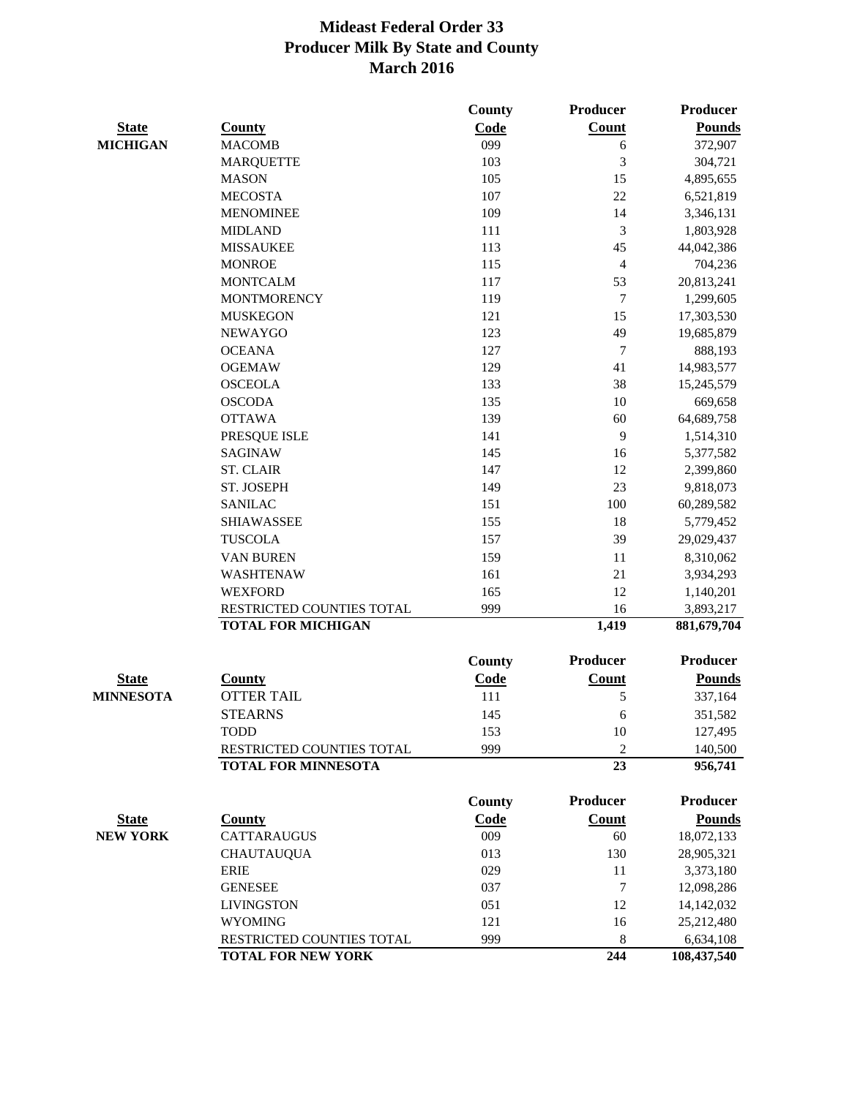|                  |                            | County        | <b>Producer</b>  | Producer        |
|------------------|----------------------------|---------------|------------------|-----------------|
| <b>State</b>     | <b>County</b>              | Code          | Count            | <b>Pounds</b>   |
| <b>MICHIGAN</b>  | <b>MACOMB</b>              | 099           | 6                | 372,907         |
|                  | <b>MARQUETTE</b>           | 103           | 3                | 304,721         |
|                  | <b>MASON</b>               | 105           | 15               | 4,895,655       |
|                  | <b>MECOSTA</b>             | 107           | 22               | 6,521,819       |
|                  | <b>MENOMINEE</b>           | 109           | 14               | 3,346,131       |
|                  | <b>MIDLAND</b>             | 111           | 3                | 1,803,928       |
|                  | <b>MISSAUKEE</b>           | 113           | 45               | 44,042,386      |
|                  | <b>MONROE</b>              | 115           | $\overline{4}$   | 704,236         |
|                  | <b>MONTCALM</b>            | 117           | 53               | 20,813,241      |
|                  | <b>MONTMORENCY</b>         | 119           | 7                | 1,299,605       |
|                  | <b>MUSKEGON</b>            | 121           | 15               | 17,303,530      |
|                  | <b>NEWAYGO</b>             | 123           | 49               | 19,685,879      |
|                  | <b>OCEANA</b>              | 127           | $\boldsymbol{7}$ | 888,193         |
|                  | <b>OGEMAW</b>              | 129           | 41               | 14,983,577      |
|                  | <b>OSCEOLA</b>             | 133           | 38               | 15,245,579      |
|                  | <b>OSCODA</b>              | 135           | 10               | 669,658         |
|                  | <b>OTTAWA</b>              | 139           | 60               | 64,689,758      |
|                  | PRESQUE ISLE               | 141           | 9                | 1,514,310       |
|                  | <b>SAGINAW</b>             | 145           | 16               | 5,377,582       |
|                  | <b>ST. CLAIR</b>           | 147           | 12               | 2,399,860       |
|                  | ST. JOSEPH                 | 149           | 23               | 9,818,073       |
|                  | <b>SANILAC</b>             | 151           | 100              | 60,289,582      |
|                  | <b>SHIAWASSEE</b>          | 155           | 18               | 5,779,452       |
|                  | <b>TUSCOLA</b>             | 157           | 39               | 29,029,437      |
|                  | <b>VAN BUREN</b>           | 159           | 11               | 8,310,062       |
|                  | WASHTENAW                  | 161           | 21               | 3,934,293       |
|                  | <b>WEXFORD</b>             | 165           | 12               | 1,140,201       |
|                  | RESTRICTED COUNTIES TOTAL  | 999           | 16               | 3,893,217       |
|                  | <b>TOTAL FOR MICHIGAN</b>  |               | 1,419            | 881,679,704     |
|                  |                            | County        | <b>Producer</b>  | Producer        |
| <u>State</u>     | <b>County</b>              | <b>Code</b>   | Count            | <b>Pounds</b>   |
| <b>MINNESOTA</b> | <b>OTTER TAIL</b>          | 111           | 5                | 337,164         |
|                  | <b>STEARNS</b>             | 145           | 6                | 351,582         |
|                  | <b>TODD</b>                | 153           | 10               | 127,495         |
|                  | RESTRICTED COUNTIES TOTAL  | 999           | $\overline{2}$   | 140,500         |
|                  | <b>TOTAL FOR MINNESOTA</b> |               | 23               | 956,741         |
|                  |                            | <b>County</b> | Producer         | <b>Producer</b> |
| <b>State</b>     | <b>County</b>              | Code          | <b>Count</b>     | <b>Pounds</b>   |
| <b>NEW YORK</b>  | <b>CATTARAUGUS</b>         | 009           | 60               | 18,072,133      |
|                  | <b>CHAUTAUQUA</b>          | 013           | 130              | 28,905,321      |
|                  | <b>ERIE</b>                | 029           | 11               | 3,373,180       |
|                  | <b>GENESEE</b>             | 037           | 7                | 12,098,286      |
|                  | <b>LIVINGSTON</b>          | 051           | 12               | 14,142,032      |
|                  | <b>WYOMING</b>             | 121           | 16               | 25,212,480      |
|                  | RESTRICTED COUNTIES TOTAL  | 999           | 8                | 6,634,108       |
|                  | <b>TOTAL FOR NEW YORK</b>  |               | 244              | 108,437,540     |
|                  |                            |               |                  |                 |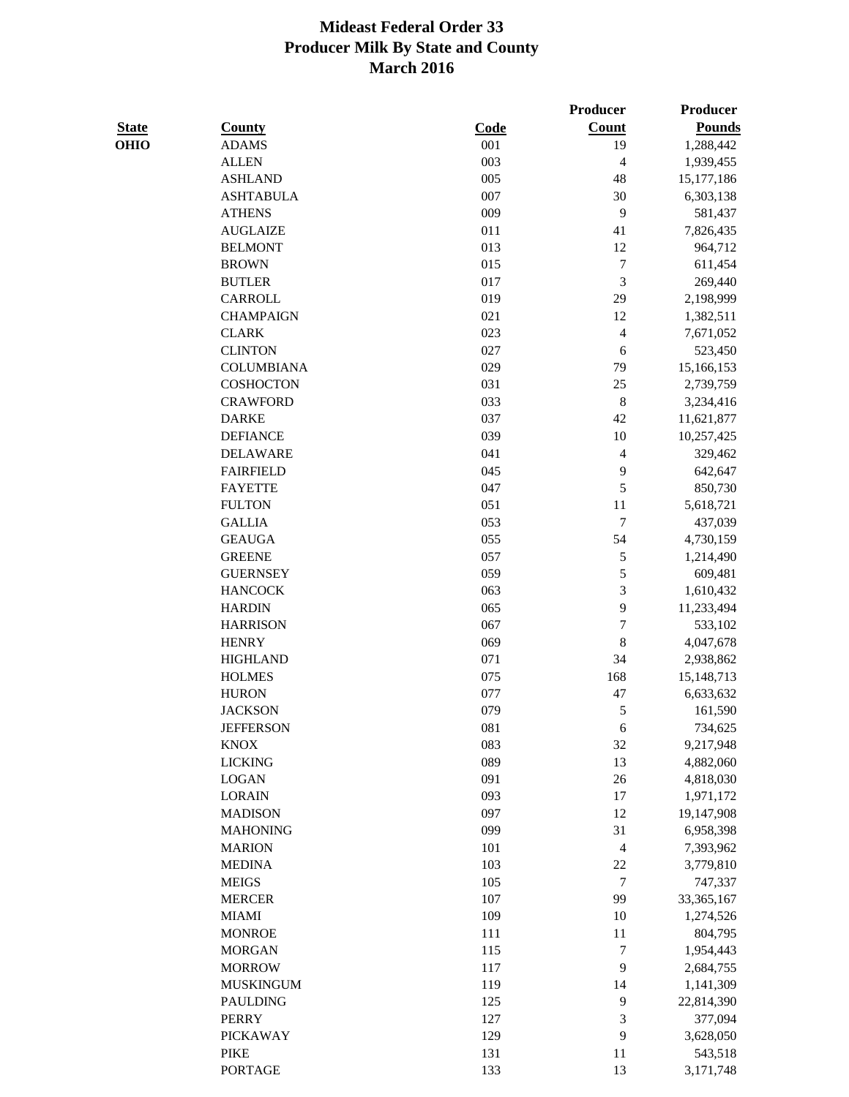|              |                   |      | Producer       | Producer      |
|--------------|-------------------|------|----------------|---------------|
| <b>State</b> | <b>County</b>     | Code | Count          | <b>Pounds</b> |
| OHIO         | <b>ADAMS</b>      | 001  | 19             | 1,288,442     |
|              | <b>ALLEN</b>      | 003  | 4              | 1,939,455     |
|              | <b>ASHLAND</b>    | 005  | 48             | 15,177,186    |
|              | <b>ASHTABULA</b>  | 007  | 30             | 6,303,138     |
|              | <b>ATHENS</b>     | 009  | 9              | 581,437       |
|              | <b>AUGLAIZE</b>   | 011  | 41             | 7,826,435     |
|              | <b>BELMONT</b>    | 013  | 12             | 964,712       |
|              | <b>BROWN</b>      | 015  | $\overline{7}$ | 611,454       |
|              | <b>BUTLER</b>     | 017  | 3              | 269,440       |
|              | CARROLL           | 019  | 29             | 2,198,999     |
|              | <b>CHAMPAIGN</b>  | 021  | 12             | 1,382,511     |
|              | <b>CLARK</b>      | 023  | 4              | 7,671,052     |
|              | <b>CLINTON</b>    | 027  | 6              | 523,450       |
|              | <b>COLUMBIANA</b> | 029  | 79             | 15,166,153    |
|              | COSHOCTON         | 031  | 25             | 2,739,759     |
|              | <b>CRAWFORD</b>   | 033  | $\,8\,$        | 3,234,416     |
|              | <b>DARKE</b>      | 037  | 42             | 11,621,877    |
|              | <b>DEFIANCE</b>   | 039  | 10             | 10,257,425    |
|              | <b>DELAWARE</b>   | 041  | 4              | 329,462       |
|              | <b>FAIRFIELD</b>  | 045  | 9              | 642,647       |
|              | <b>FAYETTE</b>    | 047  | 5              | 850,730       |
|              | <b>FULTON</b>     | 051  | 11             | 5,618,721     |
|              | <b>GALLIA</b>     | 053  | 7              | 437,039       |
|              | <b>GEAUGA</b>     | 055  | 54             | 4,730,159     |
|              | <b>GREENE</b>     | 057  | 5              | 1,214,490     |
|              | <b>GUERNSEY</b>   | 059  | 5              | 609,481       |
|              | <b>HANCOCK</b>    | 063  | 3              | 1,610,432     |
|              | <b>HARDIN</b>     | 065  | 9              | 11,233,494    |
|              | <b>HARRISON</b>   | 067  | 7              | 533,102       |
|              | <b>HENRY</b>      | 069  | 8              | 4,047,678     |
|              | <b>HIGHLAND</b>   | 071  | 34             | 2,938,862     |
|              | <b>HOLMES</b>     | 075  | 168            | 15,148,713    |
|              | <b>HURON</b>      | 077  | 47             | 6,633,632     |
|              | <b>JACKSON</b>    | 079  | 5              | 161,590       |
|              | <b>JEFFERSON</b>  | 081  | 6              | 734,625       |
|              | <b>KNOX</b>       | 083  | 32             | 9,217,948     |
|              | <b>LICKING</b>    | 089  | 13             | 4,882,060     |
|              | <b>LOGAN</b>      | 091  | $26\,$         | 4,818,030     |
|              | <b>LORAIN</b>     | 093  | 17             | 1,971,172     |
|              | <b>MADISON</b>    | 097  | 12             | 19,147,908    |
|              | <b>MAHONING</b>   | 099  | 31             | 6,958,398     |
|              | <b>MARION</b>     | 101  | 4              | 7,393,962     |
|              | <b>MEDINA</b>     | 103  | $22\,$         | 3,779,810     |
|              | <b>MEIGS</b>      | 105  | $\tau$         | 747,337       |
|              | <b>MERCER</b>     | 107  | 99             | 33, 365, 167  |
|              | <b>MIAMI</b>      | 109  | $10\,$         | 1,274,526     |
|              | <b>MONROE</b>     | 111  | 11             | 804,795       |
|              | <b>MORGAN</b>     | 115  | $\overline{7}$ | 1,954,443     |
|              | <b>MORROW</b>     | 117  | 9              | 2,684,755     |
|              | <b>MUSKINGUM</b>  | 119  | 14             | 1,141,309     |
|              | <b>PAULDING</b>   | 125  | 9              | 22,814,390    |
|              | <b>PERRY</b>      | 127  | 3              | 377,094       |
|              | <b>PICKAWAY</b>   | 129  | 9              | 3,628,050     |
|              | <b>PIKE</b>       | 131  | 11             | 543,518       |
|              | PORTAGE           | 133  | 13             | 3,171,748     |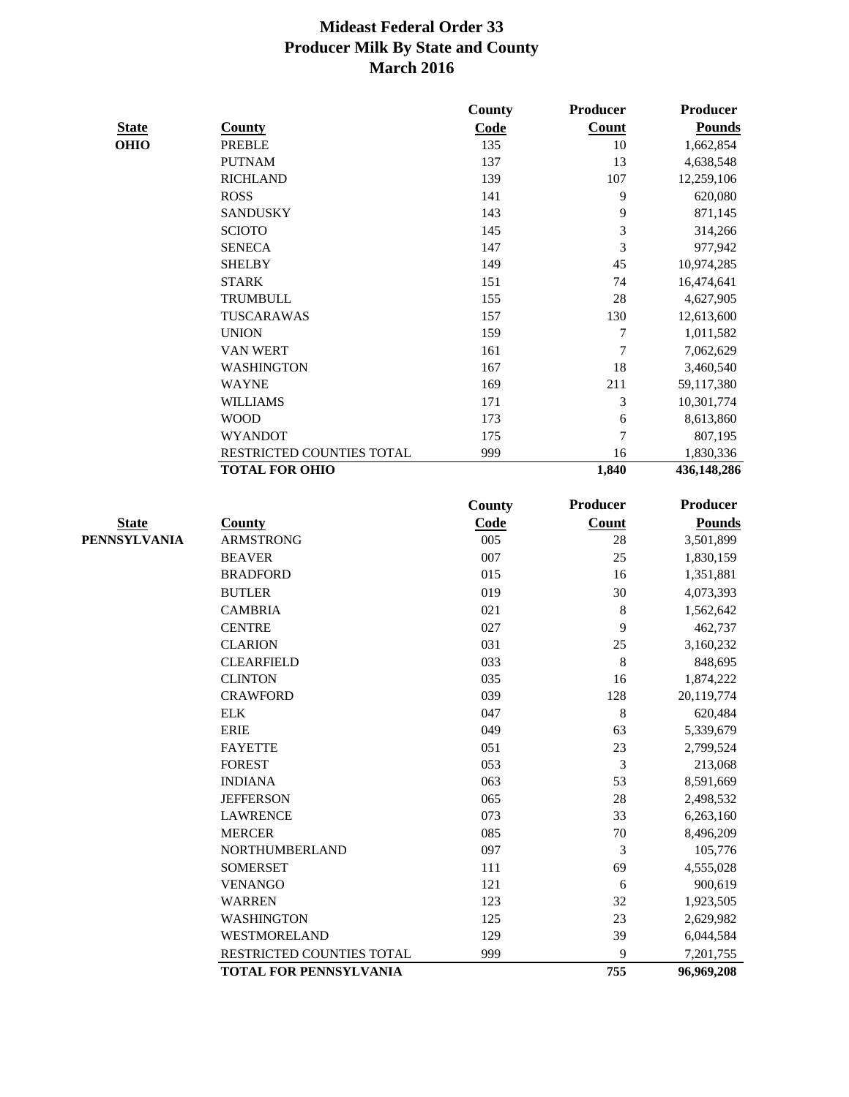|              |                           | County | Producer         | Producer        |
|--------------|---------------------------|--------|------------------|-----------------|
| <b>State</b> | <b>County</b>             | Code   | Count            | <b>Pounds</b>   |
| <b>OHIO</b>  | <b>PREBLE</b>             | 135    | $10\,$           | 1,662,854       |
|              | <b>PUTNAM</b>             | 137    | 13               | 4,638,548       |
|              | <b>RICHLAND</b>           | 139    | 107              | 12,259,106      |
|              | <b>ROSS</b>               | 141    | 9                | 620,080         |
|              | <b>SANDUSKY</b>           | 143    | 9                | 871,145         |
|              | <b>SCIOTO</b>             | 145    | 3                | 314,266         |
|              | <b>SENECA</b>             | 147    | 3                | 977,942         |
|              | <b>SHELBY</b>             | 149    | 45               | 10,974,285      |
|              | <b>STARK</b>              | 151    | 74               | 16,474,641      |
|              | <b>TRUMBULL</b>           | 155    | 28               | 4,627,905       |
|              | TUSCARAWAS                | 157    | 130              | 12,613,600      |
|              | <b>UNION</b>              | 159    | 7                | 1,011,582       |
|              | VAN WERT                  | 161    | $\boldsymbol{7}$ | 7,062,629       |
|              | <b>WASHINGTON</b>         | 167    | 18               | 3,460,540       |
|              | <b>WAYNE</b>              | 169    | 211              | 59,117,380      |
|              | <b>WILLIAMS</b>           | 171    | 3                | 10,301,774      |
|              | <b>WOOD</b>               | 173    | 6                | 8,613,860       |
|              | <b>WYANDOT</b>            | 175    | $\overline{7}$   | 807,195         |
|              | RESTRICTED COUNTIES TOTAL | 999    | 16               | 1,830,336       |
|              | <b>TOTAL FOR OHIO</b>     |        | 1,840            | 436,148,286     |
|              |                           | County | <b>Producer</b>  | <b>Producer</b> |
| <b>State</b> | <b>County</b>             | Code   | <b>Count</b>     | <b>Pounds</b>   |
| PENNSYLVANIA | <b>ARMSTRONG</b>          | 005    | 28               | 3,501,899       |
|              | <b>BEAVER</b>             | 007    | 25               | 1,830,159       |
|              | <b>BRADFORD</b>           | 015    | 16               | 1,351,881       |
|              | <b>BUTLER</b>             | 019    | 30               | 4,073,393       |
|              | <b>CAMBRIA</b>            | 021    | 8                | 1,562,642       |
|              | <b>CENTRE</b>             | 027    | 9                | 462,737         |
|              | <b>CLARION</b>            | 031    | 25               | 3,160,232       |
|              | <b>CLEARFIELD</b>         | 033    | 8                | 848,695         |
|              | <b>CLINTON</b>            | 035    | 16               | 1,874,222       |
|              | <b>CRAWFORD</b>           | 039    | 128              | 20,119,774      |
|              | <b>ELK</b>                | 047    | 8                | 620,484         |
|              | <b>ERIE</b>               | 049    | 63               | 5,339,679       |
|              | <b>FAYETTE</b>            | 051    | 23               | 2,799,524       |
|              | <b>FOREST</b>             | 053    | 3                | 213,068         |
|              | <b>INDIANA</b>            | 063    | 53               | 8,591,669       |
|              | <b>JEFFERSON</b>          | 065    | $28\,$           | 2,498,532       |
|              | <b>LAWRENCE</b>           | 073    | 33               | 6,263,160       |
|              | <b>MERCER</b>             | 085    | $70\,$           | 8,496,209       |
|              | <b>NORTHUMBERLAND</b>     | 097    | 3                | 105,776         |
|              | <b>SOMERSET</b>           | 111    | 69               | 4,555,028       |
|              | <b>VENANGO</b>            | 121    | 6                | 900,619         |
|              | <b>WARREN</b>             | 123    | 32               | 1,923,505       |
|              | <b>WASHINGTON</b>         | 125    | 23               | 2,629,982       |
|              | WESTMORELAND              | 129    | 39               | 6,044,584       |
|              | RESTRICTED COUNTIES TOTAL | 999    | 9                | 7,201,755       |
|              | TOTAL FOR PENNSYLVANIA    |        | 755              | 96,969,208      |